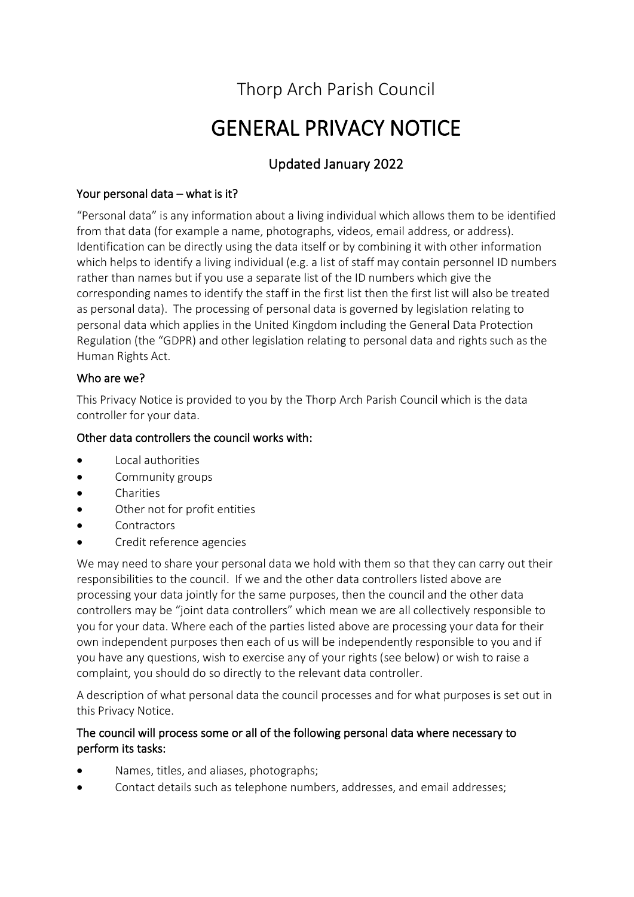## Thorp Arch Parish Council

# GENERAL PRIVACY NOTICE

## Updated January 2022

## Your personal data – what is it?

"Personal data" is any information about a living individual which allows them to be identified from that data (for example a name, photographs, videos, email address, or address). Identification can be directly using the data itself or by combining it with other information which helps to identify a living individual (e.g. a list of staff may contain personnel ID numbers rather than names but if you use a separate list of the ID numbers which give the corresponding names to identify the staff in the first list then the first list will also be treated as personal data). The processing of personal data is governed by legislation relating to personal data which applies in the United Kingdom including the General Data Protection Regulation (the "GDPR) and other legislation relating to personal data and rights such as the Human Rights Act.

#### Who are we?

This Privacy Notice is provided to you by the Thorp Arch Parish Council which is the data controller for your data.

#### Other data controllers the council works with:

- Local authorities
- Community groups
- Charities
- Other not for profit entities
- **Contractors**
- Credit reference agencies

We may need to share your personal data we hold with them so that they can carry out their responsibilities to the council. If we and the other data controllers listed above are processing your data jointly for the same purposes, then the council and the other data controllers may be "joint data controllers" which mean we are all collectively responsible to you for your data. Where each of the parties listed above are processing your data for their own independent purposes then each of us will be independently responsible to you and if you have any questions, wish to exercise any of your rights (see below) or wish to raise a complaint, you should do so directly to the relevant data controller.

A description of what personal data the council processes and for what purposes is set out in this Privacy Notice.

#### The council will process some or all of the following personal data where necessary to perform its tasks:

- Names, titles, and aliases, photographs;
- Contact details such as telephone numbers, addresses, and email addresses;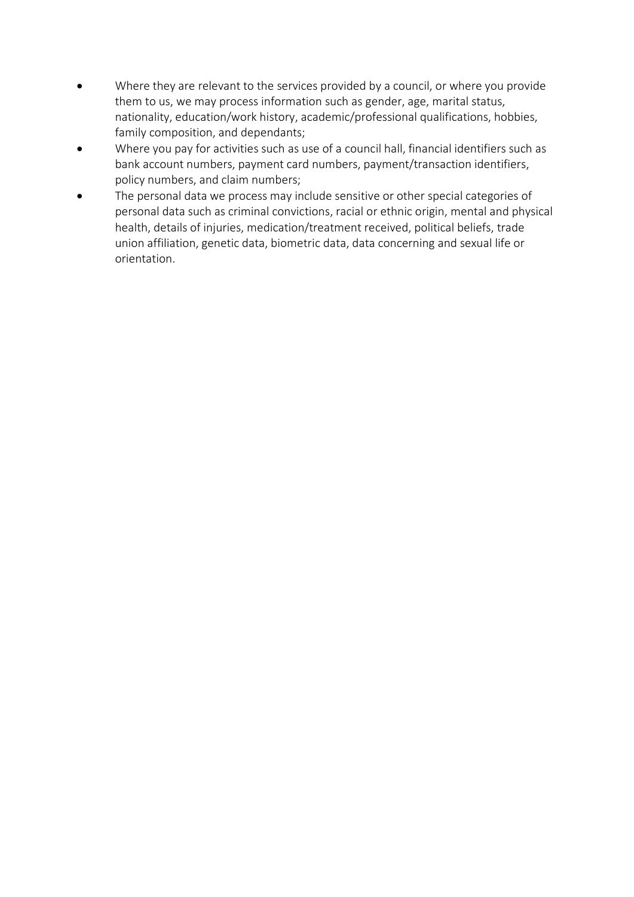- Where they are relevant to the services provided by a council, or where you provide them to us, we may process information such as gender, age, marital status, nationality, education/work history, academic/professional qualifications, hobbies, family composition, and dependants;
- Where you pay for activities such as use of a council hall, financial identifiers such as bank account numbers, payment card numbers, payment/transaction identifiers, policy numbers, and claim numbers;
- The personal data we process may include sensitive or other special categories of personal data such as criminal convictions, racial or ethnic origin, mental and physical health, details of injuries, medication/treatment received, political beliefs, trade union affiliation, genetic data, biometric data, data concerning and sexual life or orientation.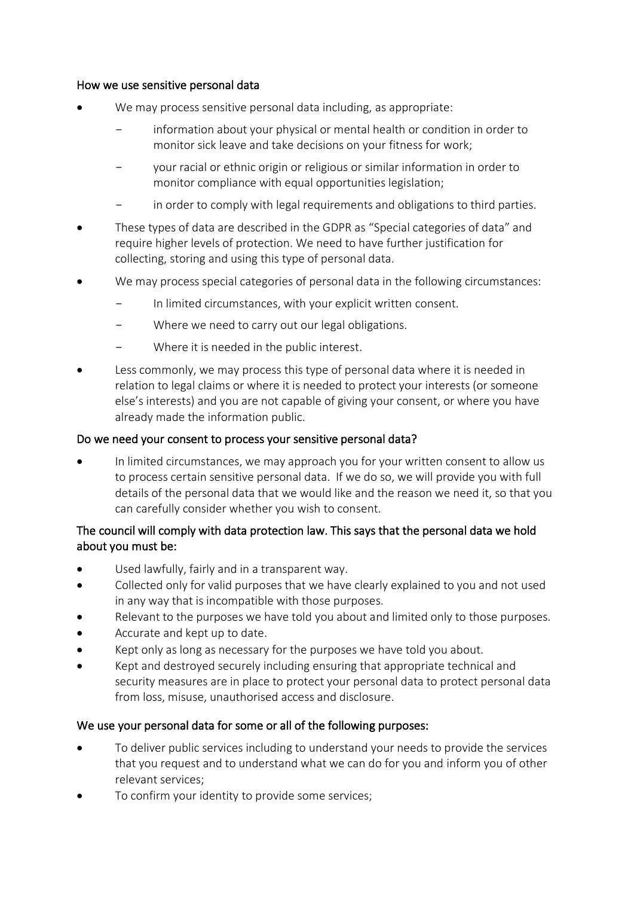#### How we use sensitive personal data

- We may process sensitive personal data including, as appropriate:
	- information about your physical or mental health or condition in order to monitor sick leave and take decisions on your fitness for work;
	- your racial or ethnic origin or religious or similar information in order to monitor compliance with equal opportunities legislation;
	- in order to comply with legal requirements and obligations to third parties.
- These types of data are described in the GDPR as "Special categories of data" and require higher levels of protection. We need to have further justification for collecting, storing and using this type of personal data.
- We may process special categories of personal data in the following circumstances:
	- In limited circumstances, with your explicit written consent.
	- Where we need to carry out our legal obligations.
	- Where it is needed in the public interest.
- Less commonly, we may process this type of personal data where it is needed in relation to legal claims or where it is needed to protect your interests (or someone else's interests) and you are not capable of giving your consent, or where you have already made the information public.

#### Do we need your consent to process your sensitive personal data?

• In limited circumstances, we may approach you for your written consent to allow us to process certain sensitive personal data. If we do so, we will provide you with full details of the personal data that we would like and the reason we need it, so that you can carefully consider whether you wish to consent.

#### The council will comply with data protection law. This says that the personal data we hold about you must be:

- Used lawfully, fairly and in a transparent way.
- Collected only for valid purposes that we have clearly explained to you and not used in any way that is incompatible with those purposes.
- Relevant to the purposes we have told you about and limited only to those purposes.
- Accurate and kept up to date.
- Kept only as long as necessary for the purposes we have told you about.
- Kept and destroyed securely including ensuring that appropriate technical and security measures are in place to protect your personal data to protect personal data from loss, misuse, unauthorised access and disclosure.

#### We use your personal data for some or all of the following purposes:

- To deliver public services including to understand your needs to provide the services that you request and to understand what we can do for you and inform you of other relevant services;
- To confirm your identity to provide some services;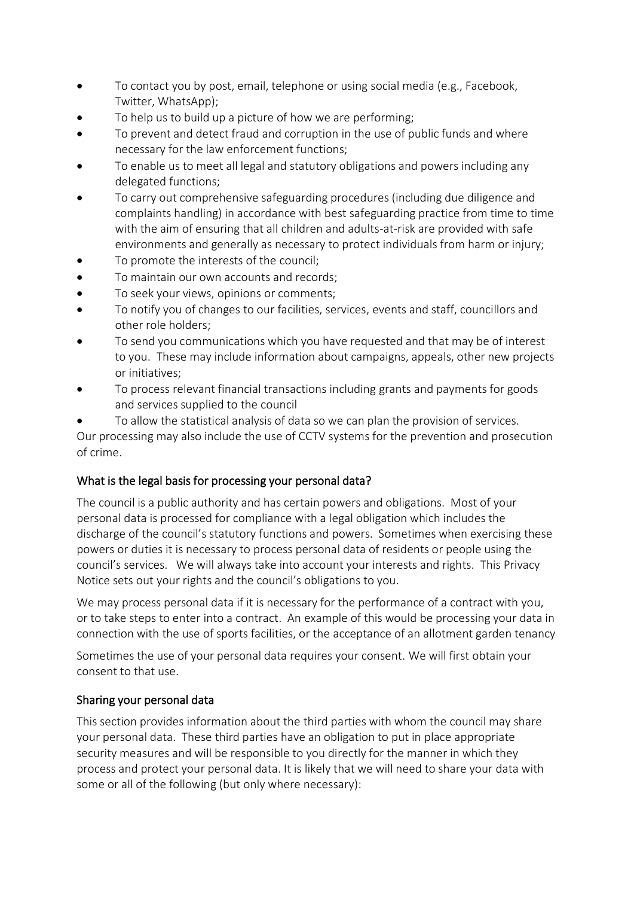- To contact you by post, email, telephone or using social media (e.g., Facebook, Twitter, WhatsApp);
- To help us to build up a picture of how we are performing;
- To prevent and detect fraud and corruption in the use of public funds and where necessary for the law enforcement functions;
- To enable us to meet all legal and statutory obligations and powers including any delegated functions;
- To carry out comprehensive safeguarding procedures (including due diligence and complaints handling) in accordance with best safeguarding practice from time to time with the aim of ensuring that all children and adults-at-risk are provided with safe environments and generally as necessary to protect individuals from harm or injury;
- To promote the interests of the council;
- To maintain our own accounts and records;
- To seek your views, opinions or comments;
- To notify you of changes to our facilities, services, events and staff, councillors and other role holders;
- To send you communications which you have requested and that may be of interest to you. These may include information about campaigns, appeals, other new projects or initiatives;
- To process relevant financial transactions including grants and payments for goods and services supplied to the council
- To allow the statistical analysis of data so we can plan the provision of services.

Our processing may also include the use of CCTV systems for the prevention and prosecution of crime.

#### What is the legal basis for processing your personal data?

The council is a public authority and has certain powers and obligations. Most of your personal data is processed for compliance with a legal obligation which includes the discharge of the council's statutory functions and powers. Sometimes when exercising these powers or duties it is necessary to process personal data of residents or people using the council's services. We will always take into account your interests and rights. This Privacy Notice sets out your rights and the council's obligations to you.

We may process personal data if it is necessary for the performance of a contract with you, or to take steps to enter into a contract. An example of this would be processing your data in connection with the use of sports facilities, or the acceptance of an allotment garden tenancy

Sometimes the use of your personal data requires your consent. We will first obtain your consent to that use.

#### Sharing your personal data

This section provides information about the third parties with whom the council may share your personal data. These third parties have an obligation to put in place appropriate security measures and will be responsible to you directly for the manner in which they process and protect your personal data. It is likely that we will need to share your data with some or all of the following (but only where necessary):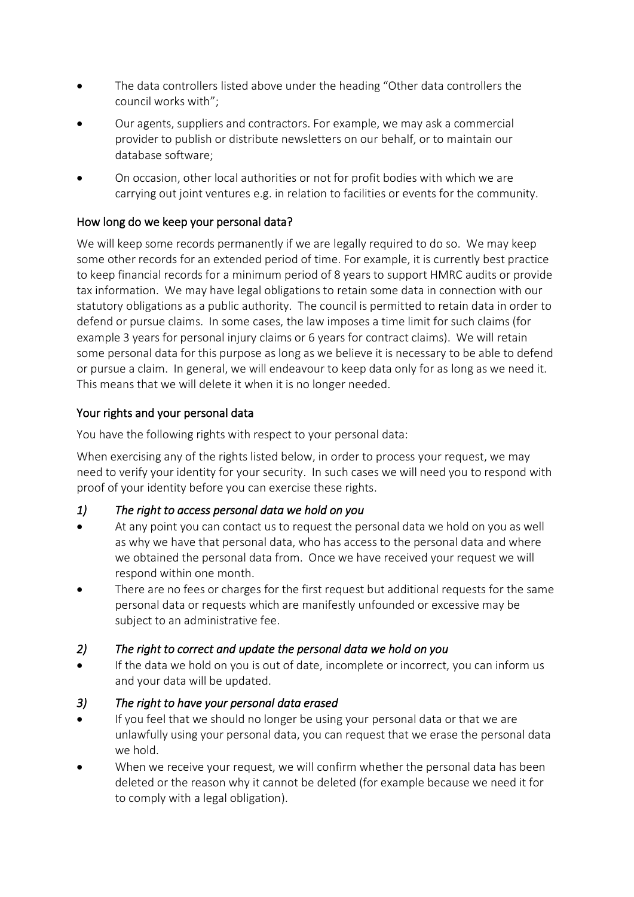- The data controllers listed above under the heading "Other data controllers the council works with";
- Our agents, suppliers and contractors. For example, we may ask a commercial provider to publish or distribute newsletters on our behalf, or to maintain our database software;
- On occasion, other local authorities or not for profit bodies with which we are carrying out joint ventures e.g. in relation to facilities or events for the community.

#### How long do we keep your personal data?

We will keep some records permanently if we are legally required to do so. We may keep some other records for an extended period of time. For example, it is currently best practice to keep financial records for a minimum period of 8 years to support HMRC audits or provide tax information. We may have legal obligations to retain some data in connection with our statutory obligations as a public authority. The council is permitted to retain data in order to defend or pursue claims. In some cases, the law imposes a time limit for such claims (for example 3 years for personal injury claims or 6 years for contract claims). We will retain some personal data for this purpose as long as we believe it is necessary to be able to defend or pursue a claim. In general, we will endeavour to keep data only for as long as we need it. This means that we will delete it when it is no longer needed.

#### Your rights and your personal data

You have the following rights with respect to your personal data:

When exercising any of the rights listed below, in order to process your request, we may need to verify your identity for your security. In such cases we will need you to respond with proof of your identity before you can exercise these rights.

#### *1) The right to access personal data we hold on you*

- At any point you can contact us to request the personal data we hold on you as well as why we have that personal data, who has access to the personal data and where we obtained the personal data from. Once we have received your request we will respond within one month.
- There are no fees or charges for the first request but additional requests for the same personal data or requests which are manifestly unfounded or excessive may be subject to an administrative fee.
- *2) The right to correct and update the personal data we hold on you*
- If the data we hold on you is out of date, incomplete or incorrect, you can inform us and your data will be updated.
- *3) The right to have your personal data erased*
- If you feel that we should no longer be using your personal data or that we are unlawfully using your personal data, you can request that we erase the personal data we hold.
- When we receive your request, we will confirm whether the personal data has been deleted or the reason why it cannot be deleted (for example because we need it for to comply with a legal obligation).